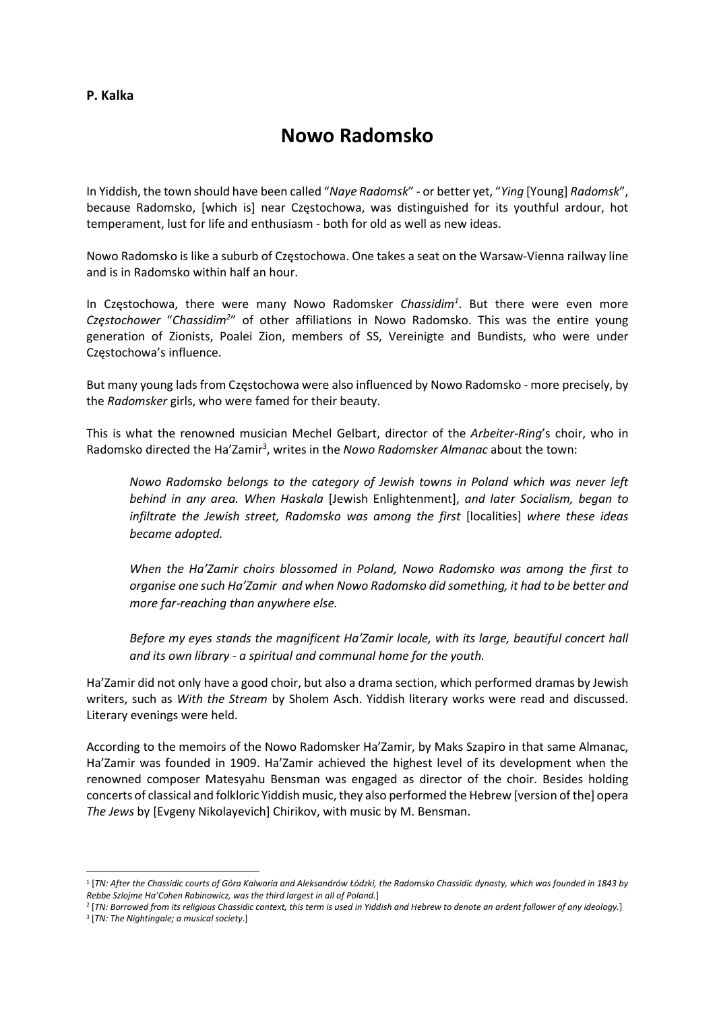## P. Kalka

# Nowo Radomsko

In Yiddish, the town should have been called "Naye Radomsk" - or better yet, "Ying [Young] Radomsk", because Radomsko, [which is] near Częstochowa, was distinguished for its youthful ardour, hot temperament, lust for life and enthusiasm - both for old as well as new ideas.

Nowo Radomsko is like a suburb of Częstochowa. One takes a seat on the Warsaw-Vienna railway line and is in Radomsko within half an hour.

In Częstochowa, there were many Nowo Radomsker Chassidim<sup>1</sup>. But there were even more Częstochower "Chassidim<sup>2</sup>" of other affiliations in Nowo Radomsko. This was the entire young generation of Zionists, Poalei Zion, members of SS, Vereinigte and Bundists, who were under Częstochowa's influence.

But many young lads from Częstochowa were also influenced by Nowo Radomsko - more precisely, by the Radomsker girls, who were famed for their beauty.

This is what the renowned musician Mechel Gelbart, director of the Arbeiter-Ring's choir, who in Radomsko directed the Ha'Zamir<sup>3</sup>, writes in the Nowo Radomsker Almanac about the town:

Nowo Radomsko belongs to the category of Jewish towns in Poland which was never left behind in any area. When Haskala [Jewish Enlightenment], and later Socialism, began to infiltrate the Jewish street, Radomsko was among the first [localities] where these ideas became adopted.

When the Ha'Zamir choirs blossomed in Poland, Nowo Radomsko was among the first to organise one such Ha'Zamir and when Nowo Radomsko did something, it had to be better and more far-reaching than anywhere else.

Before my eyes stands the magnificent Ha'Zamir locale, with its large, beautiful concert hall and its own library - a spiritual and communal home for the youth.

Ha'Zamir did not only have a good choir, but also a drama section, which performed dramas by Jewish writers, such as With the Stream by Sholem Asch. Yiddish literary works were read and discussed. Literary evenings were held.

According to the memoirs of the Nowo Radomsker Ha'Zamir, by Maks Szapiro in that same Almanac, Ha'Zamir was founded in 1909. Ha'Zamir achieved the highest level of its development when the renowned composer Matesyahu Bensman was engaged as director of the choir. Besides holding concerts of classical and folkloric Yiddish music, they also performed the Hebrew [version of the] opera The Jews by [Evgeny Nikolayevich] Chirikov, with music by M. Bensman.

2 [TN: Borrowed from its religious Chassidic context, this term is used in Yiddish and Hebrew to denote an ardent follower of any ideology.]

<sup>1</sup> [TN: After the Chassidic courts of Góra Kalwaria and Aleksandrów Łódzki, the Radomsko Chassidic dynasty, which was founded in 1843 by Rebbe Szlojme Ha'Cohen Rabinowicz, was the third largest in all of Poland.]

<sup>&</sup>lt;sup>3</sup> [TN: The Nightingale; a musical society.]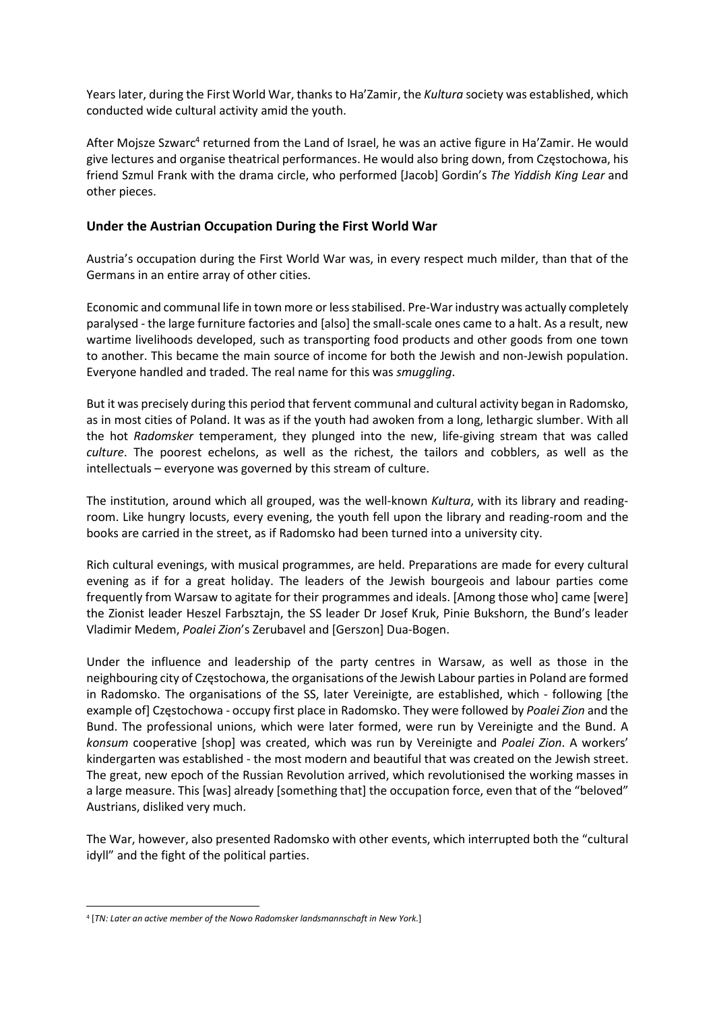Years later, during the First World War, thanks to Ha'Zamir, the Kultura society was established, which conducted wide cultural activity amid the youth.

After Mojsze Szwarc<sup>4</sup> returned from the Land of Israel, he was an active figure in Ha'Zamir. He would give lectures and organise theatrical performances. He would also bring down, from Częstochowa, his friend Szmul Frank with the drama circle, who performed [Jacob] Gordin's The Yiddish King Lear and other pieces.

#### Under the Austrian Occupation During the First World War

Austria's occupation during the First World War was, in every respect much milder, than that of the Germans in an entire array of other cities.

Economic and communal life in town more or less stabilised. Pre-War industry was actually completely paralysed - the large furniture factories and [also] the small-scale ones came to a halt. As a result, new wartime livelihoods developed, such as transporting food products and other goods from one town to another. This became the main source of income for both the Jewish and non-Jewish population. Everyone handled and traded. The real name for this was smuggling.

But it was precisely during this period that fervent communal and cultural activity began in Radomsko, as in most cities of Poland. It was as if the youth had awoken from a long, lethargic slumber. With all the hot Radomsker temperament, they plunged into the new, life-giving stream that was called culture. The poorest echelons, as well as the richest, the tailors and cobblers, as well as the intellectuals – everyone was governed by this stream of culture.

The institution, around which all grouped, was the well-known Kultura, with its library and readingroom. Like hungry locusts, every evening, the youth fell upon the library and reading-room and the books are carried in the street, as if Radomsko had been turned into a university city.

Rich cultural evenings, with musical programmes, are held. Preparations are made for every cultural evening as if for a great holiday. The leaders of the Jewish bourgeois and labour parties come frequently from Warsaw to agitate for their programmes and ideals. [Among those who] came [were] the Zionist leader Heszel Farbsztajn, the SS leader Dr Josef Kruk, Pinie Bukshorn, the Bund's leader Vladimir Medem, Poalei Zion's Zerubavel and [Gerszon] Dua-Bogen.

Under the influence and leadership of the party centres in Warsaw, as well as those in the neighbouring city of Częstochowa, the organisations of the Jewish Labour parties in Poland are formed in Radomsko. The organisations of the SS, later Vereinigte, are established, which - following [the example of] Częstochowa - occupy first place in Radomsko. They were followed by Poalei Zion and the Bund. The professional unions, which were later formed, were run by Vereinigte and the Bund. A konsum cooperative [shop] was created, which was run by Vereinigte and Poalei Zion. A workers' kindergarten was established - the most modern and beautiful that was created on the Jewish street. The great, new epoch of the Russian Revolution arrived, which revolutionised the working masses in a large measure. This [was] already [something that] the occupation force, even that of the "beloved" Austrians, disliked very much.

The War, however, also presented Radomsko with other events, which interrupted both the "cultural idyll" and the fight of the political parties.

<sup>&</sup>lt;sup>4</sup> [TN: Later an active member of the Nowo Radomsker landsmannschaft in New York.]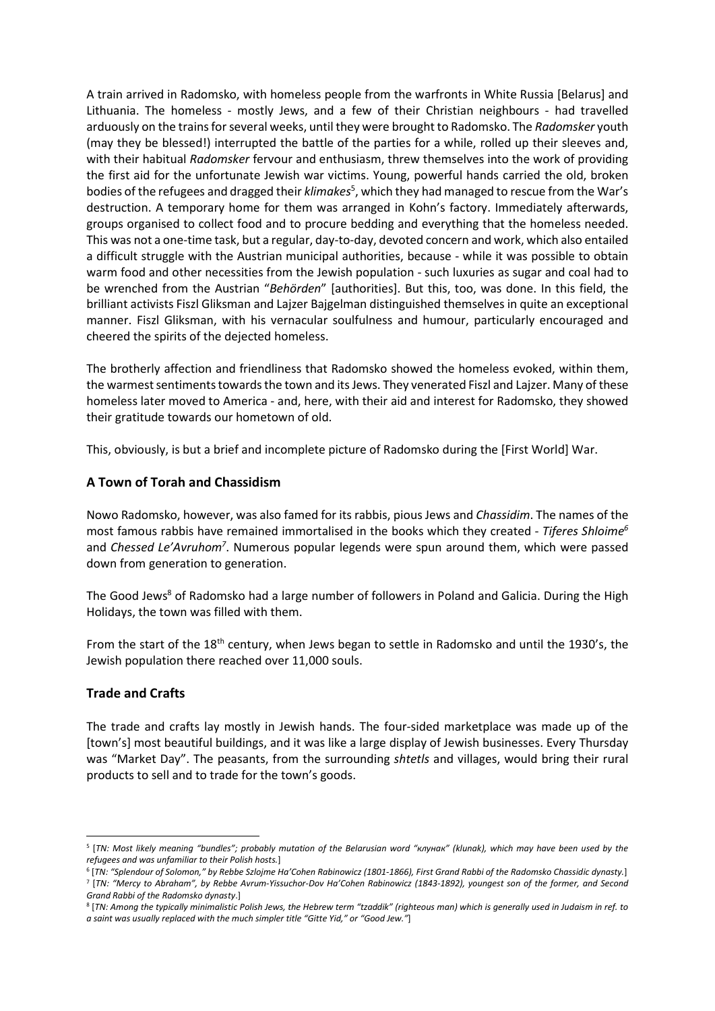A train arrived in Radomsko, with homeless people from the warfronts in White Russia [Belarus] and Lithuania. The homeless - mostly Jews, and a few of their Christian neighbours - had travelled arduously on the trains for several weeks, until they were brought to Radomsko. The Radomsker youth (may they be blessed!) interrupted the battle of the parties for a while, rolled up their sleeves and, with their habitual Radomsker fervour and enthusiasm, threw themselves into the work of providing the first aid for the unfortunate Jewish war victims. Young, powerful hands carried the old, broken bodies of the refugees and dragged their klimakes<sup>5</sup>, which they had managed to rescue from the War's destruction. A temporary home for them was arranged in Kohn's factory. Immediately afterwards, groups organised to collect food and to procure bedding and everything that the homeless needed. This was not a one-time task, but a regular, day-to-day, devoted concern and work, which also entailed a difficult struggle with the Austrian municipal authorities, because - while it was possible to obtain warm food and other necessities from the Jewish population - such luxuries as sugar and coal had to be wrenched from the Austrian "Behörden" [authorities]. But this, too, was done. In this field, the brilliant activists Fiszl Gliksman and Lajzer Bajgelman distinguished themselves in quite an exceptional manner. Fiszl Gliksman, with his vernacular soulfulness and humour, particularly encouraged and cheered the spirits of the dejected homeless.

The brotherly affection and friendliness that Radomsko showed the homeless evoked, within them, the warmest sentiments towards the town and its Jews. They venerated Fiszl and Lajzer. Many of these homeless later moved to America - and, here, with their aid and interest for Radomsko, they showed their gratitude towards our hometown of old.

This, obviously, is but a brief and incomplete picture of Radomsko during the [First World] War.

## A Town of Torah and Chassidism

Nowo Radomsko, however, was also famed for its rabbis, pious Jews and Chassidim. The names of the most famous rabbis have remained immortalised in the books which they created - Tiferes Shloime<sup>6</sup> and Chessed Le'Avruhom<sup>7</sup>. Numerous popular legends were spun around them, which were passed down from generation to generation.

The Good Jews<sup>8</sup> of Radomsko had a large number of followers in Poland and Galicia. During the High Holidays, the town was filled with them.

From the start of the 18<sup>th</sup> century, when Jews began to settle in Radomsko and until the 1930's, the Jewish population there reached over 11,000 souls.

## Trade and Crafts

The trade and crafts lay mostly in Jewish hands. The four-sided marketplace was made up of the [town's] most beautiful buildings, and it was like a large display of Jewish businesses. Every Thursday was "Market Day". The peasants, from the surrounding shtetls and villages, would bring their rural products to sell and to trade for the town's goods.

<sup>5</sup> [TN: Most likely meaning "bundles"; probably mutation of the Belarusian word "клунак" (klunak), which may have been used by the refugees and was unfamiliar to their Polish hosts.]

 $^6$  [TN: "Splendour of Solomon," by Rebbe Szlojme Ha'Cohen Rabinowicz (1801-1866), First Grand Rabbi of the Radomsko Chassidic dynasty.] 7 [TN: "Mercy to Abraham", by Rebbe Avrum-Yissuchor-Dov Ha'Cohen Rabinowicz (1843-1892), youngest son of the former, and Second Grand Rabbi of the Radomsko dynasty.]

<sup>8</sup> [TN: Among the typically minimalistic Polish Jews, the Hebrew term "tzaddik" (righteous man) which is generally used in Judaism in ref. to a saint was usually replaced with the much simpler title "Gitte Yid," or "Good Jew."]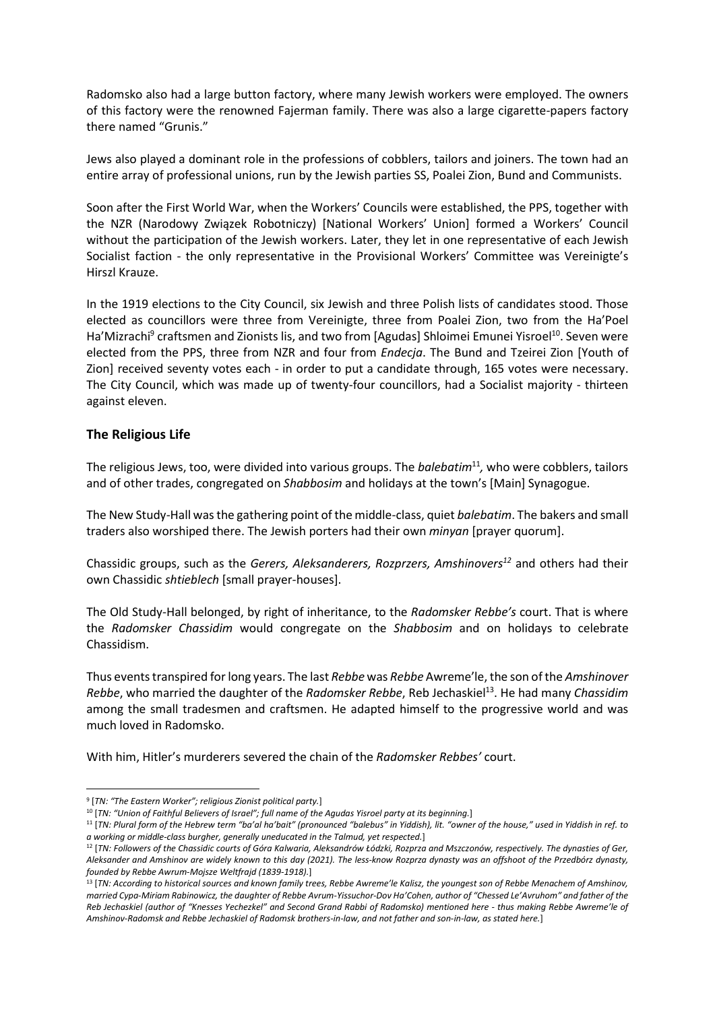Radomsko also had a large button factory, where many Jewish workers were employed. The owners of this factory were the renowned Fajerman family. There was also a large cigarette-papers factory there named "Grunis."

Jews also played a dominant role in the professions of cobblers, tailors and joiners. The town had an entire array of professional unions, run by the Jewish parties SS, Poalei Zion, Bund and Communists.

Soon after the First World War, when the Workers' Councils were established, the PPS, together with the NZR (Narodowy Związek Robotniczy) [National Workers' Union] formed a Workers' Council without the participation of the Jewish workers. Later, they let in one representative of each Jewish Socialist faction - the only representative in the Provisional Workers' Committee was Vereinigte's Hirszl Krauze.

In the 1919 elections to the City Council, six Jewish and three Polish lists of candidates stood. Those elected as councillors were three from Vereinigte, three from Poalei Zion, two from the Ha'Poel Ha'Mizrachi<sup>9</sup> craftsmen and Zionists lis, and two from [Agudas] Shloimei Emunei Yisroel<sup>10</sup>. Seven were elected from the PPS, three from NZR and four from Endecja. The Bund and Tzeirei Zion [Youth of Zion] received seventy votes each - in order to put a candidate through, 165 votes were necessary. The City Council, which was made up of twenty-four councillors, had a Socialist majority - thirteen against eleven.

#### The Religious Life

The religious Jews, too, were divided into various groups. The balebatim<sup>11</sup>, who were cobblers, tailors and of other trades, congregated on Shabbosim and holidays at the town's [Main] Synagogue.

The New Study-Hall was the gathering point of the middle-class, quiet balebatim. The bakers and small traders also worshiped there. The Jewish porters had their own minyan [prayer quorum].

Chassidic groups, such as the Gerers, Aleksanderers, Rozprzers, Amshinovers<sup>12</sup> and others had their own Chassidic shtieblech [small prayer-houses].

The Old Study-Hall belonged, by right of inheritance, to the Radomsker Rebbe's court. That is where the Radomsker Chassidim would congregate on the Shabbosim and on holidays to celebrate Chassidism.

Thus events transpired for long years. The last Rebbe was Rebbe Awreme'le, the son of the Amshinover Rebbe, who married the daughter of the Radomsker Rebbe, Reb Jechaskiel<sup>13</sup>. He had many Chassidim among the small tradesmen and craftsmen. He adapted himself to the progressive world and was much loved in Radomsko.

With him, Hitler's murderers severed the chain of the Radomsker Rebbes' court.

<sup>&</sup>lt;sup>9</sup> [TN: "The Eastern Worker"; religious Zionist political party.]

<sup>&</sup>lt;sup>10</sup> [TN: "Union of Faithful Believers of Israel"; full name of the Agudas Yisroel party at its beginning.]

<sup>&</sup>lt;sup>11</sup> [TN: Plural form of the Hebrew term "ba'al ha'bait" (pronounced "balebus" in Yiddish), lit. "owner of the house," used in Yiddish in ref. to a working or middle-class burgher, generally uneducated in the Talmud, yet respected.]

<sup>&</sup>lt;sup>12</sup> [TN: Followers of the Chassidic courts of Góra Kalwaria, Aleksandrów Łódzki, Rozprza and Mszczonów, respectively. The dynasties of Ger, Aleksander and Amshinov are widely known to this day (2021). The less-know Rozprza dynasty was an offshoot of the Przedbórz dynasty, founded by Rebbe Awrum-Mojsze Weltfrajd (1839-1918).]

<sup>&</sup>lt;sup>13</sup> [TN: According to historical sources and known family trees, Rebbe Awreme'le Kalisz, the youngest son of Rebbe Menachem of Amshinov, married Cypa-Miriam Rabinowicz, the daughter of Rebbe Avrum-Yissuchor-Dov Ha'Cohen, author of "Chessed Le'Avruhom" and father of the Reb Jechaskiel (author of "Knesses Yechezkel" and Second Grand Rabbi of Radomsko) mentioned here - thus making Rebbe Awreme'le of Amshinov-Radomsk and Rebbe Jechaskiel of Radomsk brothers-in-law, and not father and son-in-law, as stated here.]